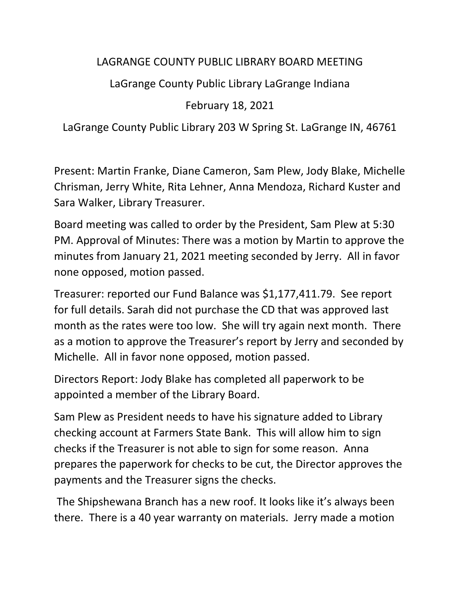## LAGRANGE COUNTY PUBLIC LIBRARY BOARD MEETING

LaGrange County Public Library LaGrange Indiana

February 18, 2021

LaGrange County Public Library 203 W Spring St. LaGrange IN, 46761

Present: Martin Franke, Diane Cameron, Sam Plew, Jody Blake, Michelle Chrisman, Jerry White, Rita Lehner, Anna Mendoza, Richard Kuster and Sara Walker, Library Treasurer.

Board meeting was called to order by the President, Sam Plew at 5:30 PM. Approval of Minutes: There was a motion by Martin to approve the minutes from January 21, 2021 meeting seconded by Jerry. All in favor none opposed, motion passed.

Treasurer: reported our Fund Balance was \$1,177,411.79. See report for full details. Sarah did not purchase the CD that was approved last month as the rates were too low. She will try again next month. There as a motion to approve the Treasurer's report by Jerry and seconded by Michelle. All in favor none opposed, motion passed.

Directors Report: Jody Blake has completed all paperwork to be appointed a member of the Library Board.

Sam Plew as President needs to have his signature added to Library checking account at Farmers State Bank. This will allow him to sign checks if the Treasurer is not able to sign for some reason. Anna prepares the paperwork for checks to be cut, the Director approves the payments and the Treasurer signs the checks.

The Shipshewana Branch has a new roof. It looks like it's always been there. There is a 40 year warranty on materials. Jerry made a motion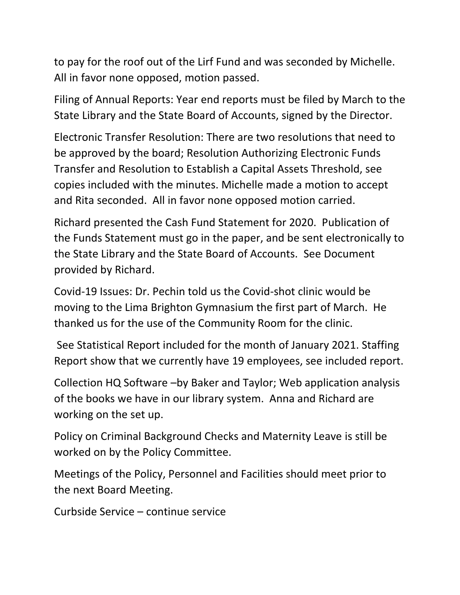to pay for the roof out of the Lirf Fund and was seconded by Michelle. All in favor none opposed, motion passed.

Filing of Annual Reports: Year end reports must be filed by March to the State Library and the State Board of Accounts, signed by the Director.

Electronic Transfer Resolution: There are two resolutions that need to be approved by the board; Resolution Authorizing Electronic Funds Transfer and Resolution to Establish a Capital Assets Threshold, see copies included with the minutes. Michelle made a motion to accept and Rita seconded. All in favor none opposed motion carried.

Richard presented the Cash Fund Statement for 2020. Publication of the Funds Statement must go in the paper, and be sent electronically to the State Library and the State Board of Accounts. See Document provided by Richard.

Covid-19 Issues: Dr. Pechin told us the Covid-shot clinic would be moving to the Lima Brighton Gymnasium the first part of March. He thanked us for the use of the Community Room for the clinic.

See Statistical Report included for the month of January 2021. Staffing Report show that we currently have 19 employees, see included report.

Collection HQ Software –by Baker and Taylor; Web application analysis of the books we have in our library system. Anna and Richard are working on the set up.

Policy on Criminal Background Checks and Maternity Leave is still be worked on by the Policy Committee.

Meetings of the Policy, Personnel and Facilities should meet prior to the next Board Meeting.

Curbside Service – continue service